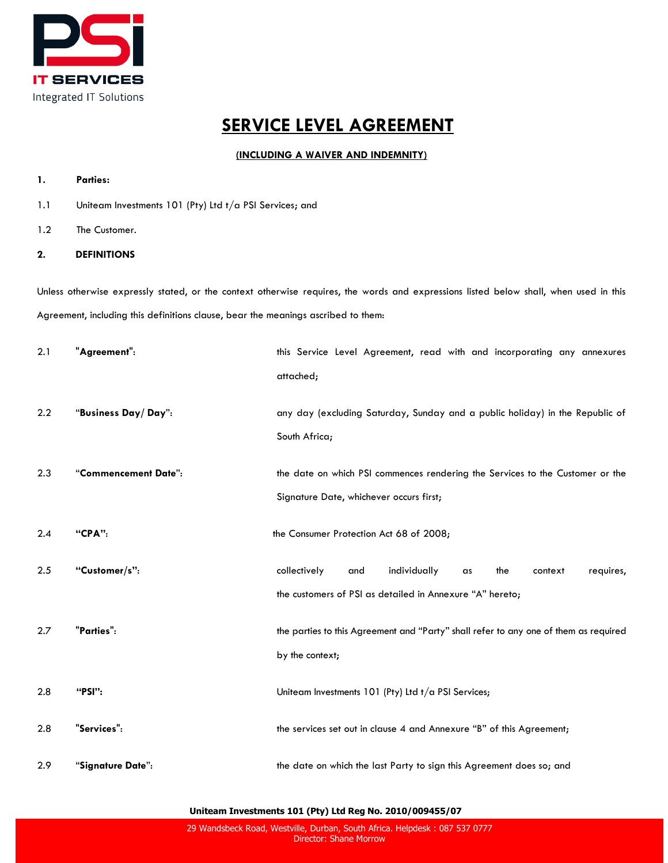

# **SERVICE LEVEL AGREEMENT**

# **(INCLUDING A WAIVER AND INDEMNITY)**

# **1. Parties:**

- 1.1 Uniteam Investments 101 (Pty) Ltd t/a PSI Services; and
- 1.2 The Customer.

# **2. DEFINITIONS**

Unless otherwise expressly stated, or the context otherwise requires, the words and expressions listed below shall, when used in this Agreement, including this definitions clause, bear the meanings ascribed to them:

| 2.1 | "Agreement":         | this Service Level Agreement, read with and incorporating any annexures              |
|-----|----------------------|--------------------------------------------------------------------------------------|
|     |                      | attached;                                                                            |
| 2.2 | "Business Day/Day":  | any day (excluding Saturday, Sunday and a public holiday) in the Republic of         |
|     |                      | South Africa;                                                                        |
| 2.3 | "Commencement Date": | the date on which PSI commences rendering the Services to the Customer or the        |
|     |                      | Signature Date, whichever occurs first;                                              |
| 2.4 | "CPA":               | the Consumer Protection Act 68 of 2008;                                              |
| 2.5 | "Customer/s":        | individually<br>collectively<br>the<br>requires,<br>and<br>context<br>as             |
|     |                      | the customers of PSI as detailed in Annexure "A" hereto;                             |
| 2.7 | "Parties":           | the parties to this Agreement and "Party" shall refer to any one of them as required |
|     |                      | by the context;                                                                      |
| 2.8 | "PSI":               | Uniteam Investments 101 (Pty) Ltd $t/a$ PSI Services;                                |
| 2.8 | "Services":          | the services set out in clause 4 and Annexure "B" of this Agreement;                 |
| 2.9 | "Signature Date":    | the date on which the last Party to sign this Agreement does so; and                 |

**Uniteam Investments 101 (Pty) Ltd Reg No. 2010/009455/07**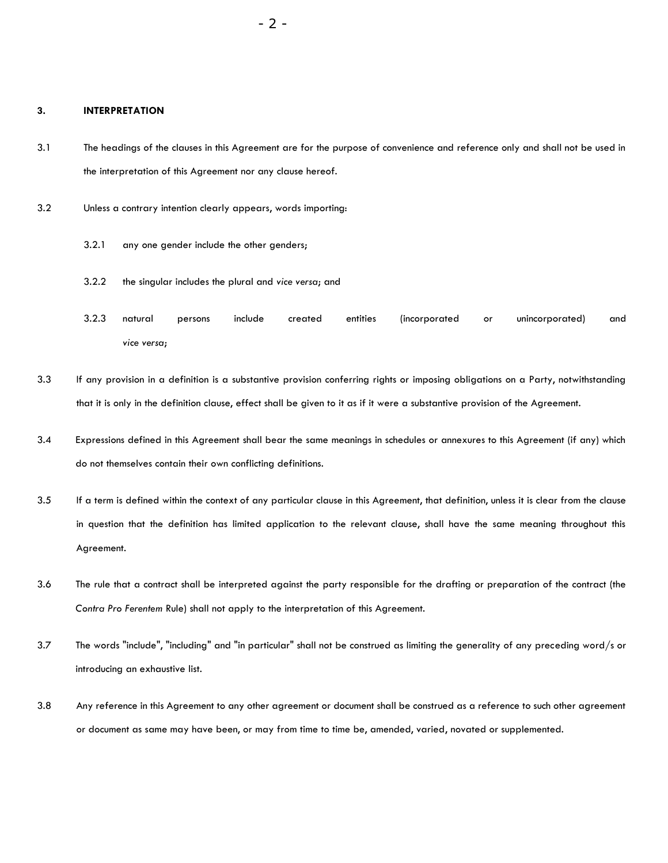## **3. INTERPRETATION**

- 3.1 The headings of the clauses in this Agreement are for the purpose of convenience and reference only and shall not be used in the interpretation of this Agreement nor any clause hereof.
- 3.2 Unless a contrary intention clearly appears, words importing:
	- 3.2.1 any one gender include the other genders;
	- 3.2.2 the singular includes the plural and *vice versa*; and
	- 3.2.3 natural persons include created entities (incorporated or unincorporated) and *vice versa*;
- 3.3 If any provision in a definition is a substantive provision conferring rights or imposing obligations on a Party, notwithstanding that it is only in the definition clause, effect shall be given to it as if it were a substantive provision of the Agreement.
- 3.4 Expressions defined in this Agreement shall bear the same meanings in schedules or annexures to this Agreement (if any) which do not themselves contain their own conflicting definitions.
- 3.5 If a term is defined within the context of any particular clause in this Agreement, that definition, unless it is clear from the clause in question that the definition has limited application to the relevant clause, shall have the same meaning throughout this Agreement.
- 3.6 The rule that a contract shall be interpreted against the party responsible for the drafting or preparation of the contract (the *Contra Pro Ferentem* Rule) shall not apply to the interpretation of this Agreement.
- 3.7 The words "include", "including" and "in particular" shall not be construed as limiting the generality of any preceding word/s or introducing an exhaustive list.
- 3.8 Any reference in this Agreement to any other agreement or document shall be construed as a reference to such other agreement or document as same may have been, or may from time to time be, amended, varied, novated or supplemented.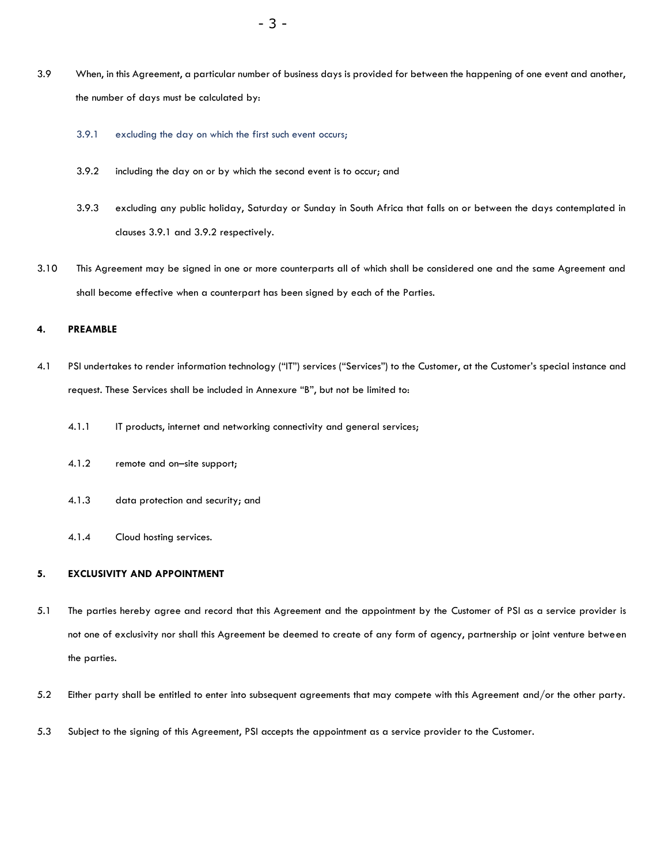- 3.9 When, in this Agreement, a particular number of business days is provided for between the happening of one event and another, the number of days must be calculated by:
	- 3.9.1 excluding the day on which the first such event occurs;
	- 3.9.2 including the day on or by which the second event is to occur; and
	- 3.9.3 excluding any public holiday, Saturday or Sunday in South Africa that falls on or between the days contemplated in clauses 3.9.1 and 3.9.2 respectively.
- 3.10 This Agreement may be signed in one or more counterparts all of which shall be considered one and the same Agreement and shall become effective when a counterpart has been signed by each of the Parties.

# **4. PREAMBLE**

- 4.1 PSI undertakes to render information technology ("IT") services ("Services") to the Customer, at the Customer's special instance and request. These Services shall be included in Annexure "B", but not be limited to:
	- 4.1.1 IT products, internet and networking connectivity and general services;
	- 4.1.2 remote and on–site support;
	- 4.1.3 data protection and security; and
	- 4.1.4 Cloud hosting services.

#### **5. EXCLUSIVITY AND APPOINTMENT**

- 5.1 The parties hereby agree and record that this Agreement and the appointment by the Customer of PSI as a service provider is not one of exclusivity nor shall this Agreement be deemed to create of any form of agency, partnership or joint venture between the parties.
- 5.2 Either party shall be entitled to enter into subsequent agreements that may compete with this Agreement and/or the other party.
- 5.3 Subject to the signing of this Agreement, PSI accepts the appointment as a service provider to the Customer.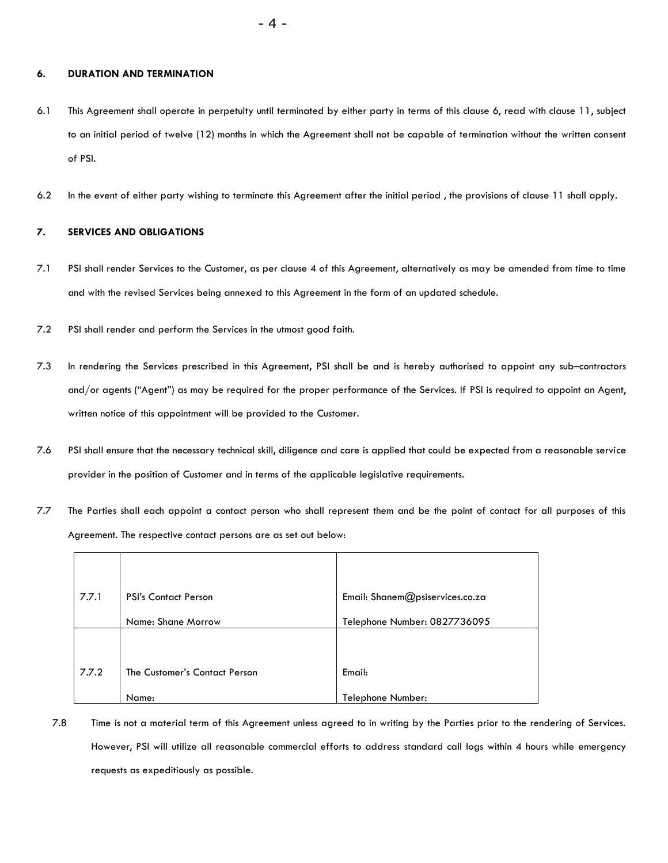## **6. DURATION AND TERMINATION**

- 6.1 This Agreement shall operate in perpetuity until terminated by either party in terms of this clause 6, read with clause 11, subject to an initial period of twelve (12) months in which the Agreement shall not be capable of termination without the written consent of PSI.
- 6.2 In the event of either party wishing to terminate this Agreement after the initial period , the provisions of clause 11 shall apply.

## **7. SERVICES AND OBLIGATIONS**

- 7.1 PSI shall render Services to the Customer, as per clause 4 of this Agreement, alternatively as may be amended from time to time and with the revised Services being annexed to this Agreement in the form of an updated schedule.
- 7.2 PSI shall render and perform the Services in the utmost good faith.
- 7.3 In rendering the Services prescribed in this Agreement, PSI shall be and is hereby authorised to appoint any sub–contractors and/or agents ("Agent") as may be required for the proper performance of the Services. If PSI is required to appoint an Agent, written notice of this appointment will be provided to the Customer.
- 7.6 PSI shall ensure that the necessary technical skill, diligence and care is applied that could be expected from a reasonable service provider in the position of Customer and in terms of the applicable legislative requirements.
- 7.7 The Parties shall each appoint a contact person who shall represent them and be the point of contact for all purposes of this Agreement. The respective contact persons are as set out below:

| 7.7.1 | <b>PSI's Contact Person</b>   | Email: Shanem@psiservices.co.za |
|-------|-------------------------------|---------------------------------|
|       | Name: Shane Morrow            | Telephone Number: 0827736095    |
|       |                               |                                 |
| 7.7.2 | The Customer's Contact Person | Email:                          |
|       | Name:                         | Telephone Number:               |

7.8 Time is not a material term of this Agreement unless agreed to in writing by the Parties prior to the rendering of Services. However, PSI will utilize all reasonable commercial efforts to address standard call logs within 4 hours while emergency requests as expeditiously as possible.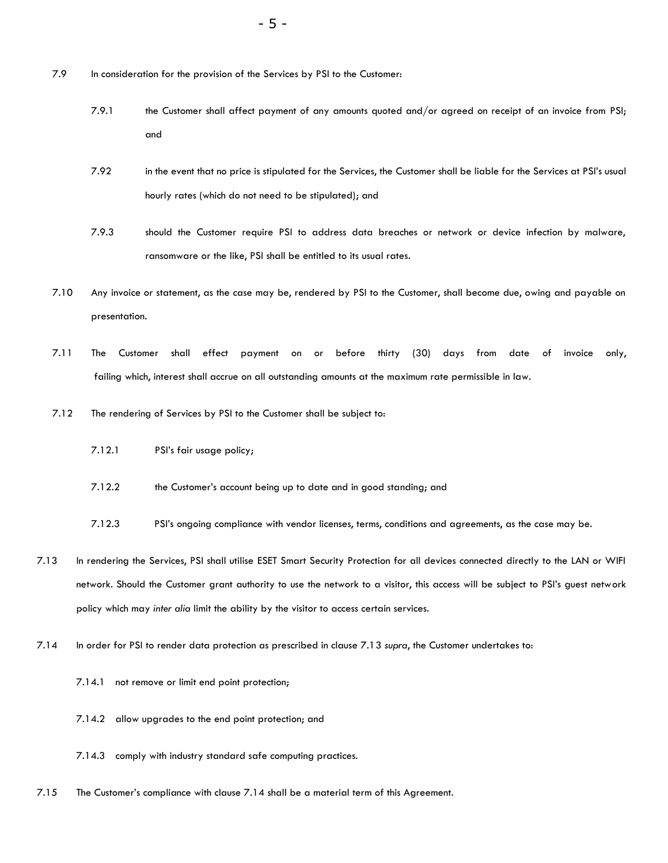- 7.9 In consideration for the provision of the Services by PSI to the Customer:
	- 7.9.1 the Customer shall affect payment of any amounts quoted and/or agreed on receipt of an invoice from PSI; and
	- 7.92 in the event that no price is stipulated for the Services, the Customer shall be liable for the Services at PSI's usual hourly rates (which do not need to be stipulated); and
	- 7.9.3 should the Customer require PSI to address data breaches or network or device infection by malware, ransomware or the like, PSI shall be entitled to its usual rates.
- 7.10 Any invoice or statement, as the case may be, rendered by PSI to the Customer, shall become due, owing and payable on presentation.
- 7.11 The Customer shall effect payment on or before thirty (30) days from date of invoice only, failing which, interest shall accrue on all outstanding amounts at the maximum rate permissible in law.
- 7.12 The rendering of Services by PSI to the Customer shall be subject to:
	- 7.12.1 PSI's fair usage policy;
	- 7.12.2 the Customer's account being up to date and in good standing; and
	- 7.12.3 PSI's ongoing compliance with vendor licenses, terms, conditions and agreements, as the case may be.
- 7.13 In rendering the Services, PSI shall utilise ESET Smart Security Protection for all devices connected directly to the LAN or WIFI network. Should the Customer grant authority to use the network to a visitor, this access will be subject to PSI's guest network policy which may *inter alia* limit the ability by the visitor to access certain services.
- 7.14 In order for PSI to render data protection as prescribed in clause 7.13 *supra*, the Customer undertakes to:
	- 7.14.1 not remove or limit end point protection;
	- 7.14.2 allow upgrades to the end point protection; and
	- 7.14.3 comply with industry standard safe computing practices.
- 7.15 The Customer's compliance with clause 7.14 shall be a material term of this Agreement.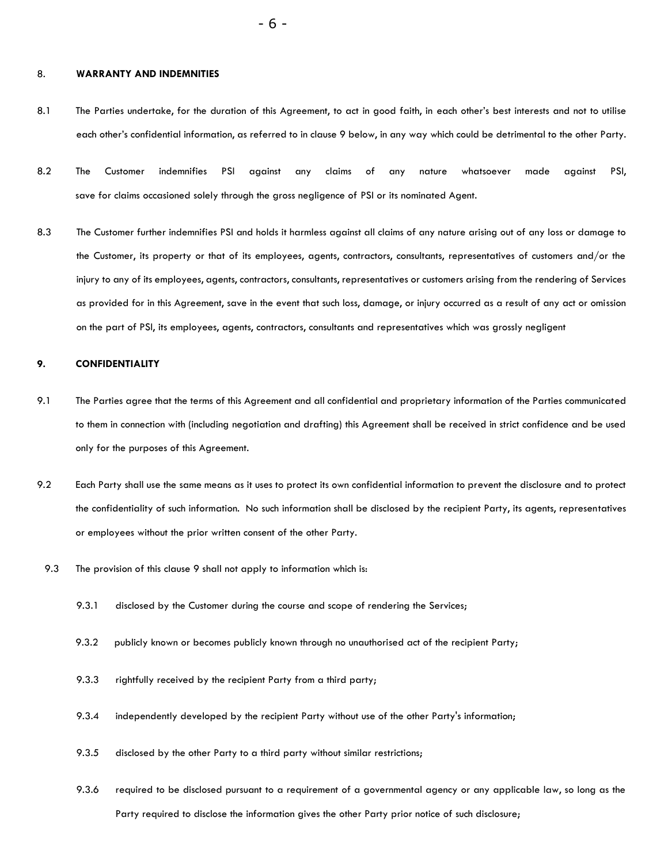#### 8. **WARRANTY AND INDEMNITIES**

- 8.1 The Parties undertake, for the duration of this Agreement, to act in good faith, in each other's best interests and not to utilise each other's confidential information, as referred to in clause 9 below, in any way which could be detrimental to the other Party.
- 8.2 The Customer indemnifies PSI against any claims of any nature whatsoever made against PSI, save for claims occasioned solely through the gross negligence of PSI or its nominated Agent.
- 8.3 The Customer further indemnifies PSI and holds it harmless against all claims of any nature arising out of any loss or damage to the Customer, its property or that of its employees, agents, contractors, consultants, representatives of customers and/or the injury to any of its employees, agents, contractors, consultants, representatives or customers arising from the rendering of Services as provided for in this Agreement, save in the event that such loss, damage, or injury occurred as a result of any act or omission on the part of PSI, its employees, agents, contractors, consultants and representatives which was grossly negligent

## **9. CONFIDENTIALITY**

- 9.1 The Parties agree that the terms of this Agreement and all confidential and proprietary information of the Parties communicated to them in connection with (including negotiation and drafting) this Agreement shall be received in strict confidence and be used only for the purposes of this Agreement.
- 9.2 Each Party shall use the same means as it uses to protect its own confidential information to prevent the disclosure and to protect the confidentiality of such information. No such information shall be disclosed by the recipient Party, its agents, representatives or employees without the prior written consent of the other Party.
- 9.3 The provision of this clause 9 shall not apply to information which is:
	- 9.3.1 disclosed by the Customer during the course and scope of rendering the Services;
	- 9.3.2 publicly known or becomes publicly known through no unauthorised act of the recipient Party;
	- 9.3.3 rightfully received by the recipient Party from a third party;
	- 9.3.4 independently developed by the recipient Party without use of the other Party's information;
	- 9.3.5 disclosed by the other Party to a third party without similar restrictions;
	- 9.3.6 required to be disclosed pursuant to a requirement of a governmental agency or any applicable law, so long as the Party required to disclose the information gives the other Party prior notice of such disclosure;

- 6 -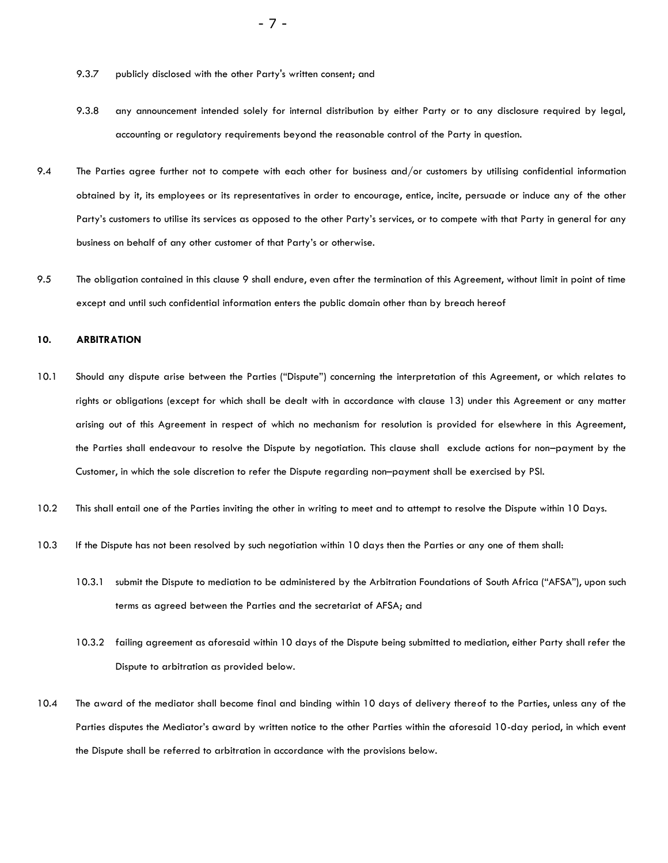- 9.3.7 publicly disclosed with the other Party's written consent; and
- 9.3.8 any announcement intended solely for internal distribution by either Party or to any disclosure required by legal, accounting or regulatory requirements beyond the reasonable control of the Party in question.
- 9.4 The Parties agree further not to compete with each other for business and/or customers by utilising confidential information obtained by it, its employees or its representatives in order to encourage, entice, incite, persuade or induce any of the other Party's customers to utilise its services as opposed to the other Party's services, or to compete with that Party in general for any business on behalf of any other customer of that Party's or otherwise.
- 9.5 The obligation contained in this clause 9 shall endure, even after the termination of this Agreement, without limit in point of time except and until such confidential information enters the public domain other than by breach hereof

## **10. ARBITRATION**

- 10.1 Should any dispute arise between the Parties ("Dispute") concerning the interpretation of this Agreement, or which relates to rights or obligations (except for which shall be dealt with in accordance with clause 13) under this Agreement or any matter arising out of this Agreement in respect of which no mechanism for resolution is provided for elsewhere in this Agreement, the Parties shall endeavour to resolve the Dispute by negotiation. This clause shall exclude actions for non–payment by the Customer, in which the sole discretion to refer the Dispute regarding non–payment shall be exercised by PSI.
- 10.2 This shall entail one of the Parties inviting the other in writing to meet and to attempt to resolve the Dispute within 10 Days.
- 10.3 If the Dispute has not been resolved by such negotiation within 10 days then the Parties or any one of them shall:
	- 10.3.1 submit the Dispute to mediation to be administered by the Arbitration Foundations of South Africa ("AFSA"), upon such terms as agreed between the Parties and the secretariat of AFSA; and
	- 10.3.2 failing agreement as aforesaid within 10 days of the Dispute being submitted to mediation, either Party shall refer the Dispute to arbitration as provided below.
- 10.4 The award of the mediator shall become final and binding within 10 days of delivery thereof to the Parties, unless any of the Parties disputes the Mediator's award by written notice to the other Parties within the aforesaid 10-day period, in which event the Dispute shall be referred to arbitration in accordance with the provisions below.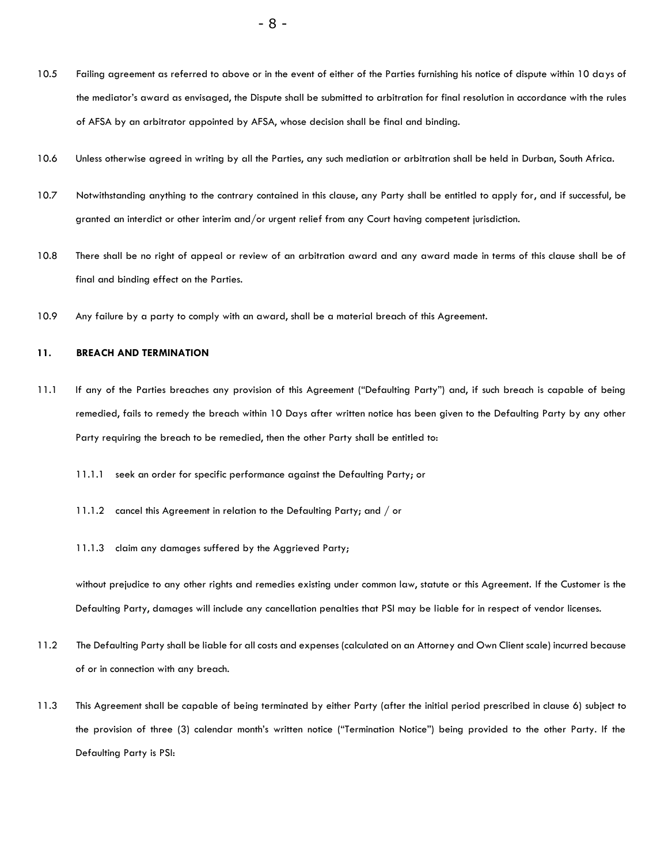- 10.5 Failing agreement as referred to above or in the event of either of the Parties furnishing his notice of dispute within 10 days of the mediator's award as envisaged, the Dispute shall be submitted to arbitration for final resolution in accordance with the rules of AFSA by an arbitrator appointed by AFSA, whose decision shall be final and binding.
- 10.6 Unless otherwise agreed in writing by all the Parties, any such mediation or arbitration shall be held in Durban, South Africa.
- 10.7 Notwithstanding anything to the contrary contained in this clause, any Party shall be entitled to apply for, and if successful, be granted an interdict or other interim and/or urgent relief from any Court having competent jurisdiction.
- 10.8 There shall be no right of appeal or review of an arbitration award and any award made in terms of this clause shall be of final and binding effect on the Parties.
- 10.9 Any failure by a party to comply with an award, shall be a material breach of this Agreement.

## **11. BREACH AND TERMINATION**

- 11.1 If any of the Parties breaches any provision of this Agreement ("Defaulting Party") and, if such breach is capable of being remedied, fails to remedy the breach within 10 Days after written notice has been given to the Defaulting Party by any other Party requiring the breach to be remedied, then the other Party shall be entitled to:
	- 11.1.1 seek an order for specific performance against the Defaulting Party; or
	- 11.1.2 cancel this Agreement in relation to the Defaulting Party; and / or
	- 11.1.3 claim any damages suffered by the Aggrieved Party;

without prejudice to any other rights and remedies existing under common law, statute or this Agreement. If the Customer is the Defaulting Party, damages will include any cancellation penalties that PSI may be liable for in respect of vendor licenses.

- 11.2 The Defaulting Party shall be liable for all costs and expenses (calculated on an Attorney and Own Client scale) incurred because of or in connection with any breach.
- 11.3 This Agreement shall be capable of being terminated by either Party (after the initial period prescribed in clause 6) subject to the provision of three (3) calendar month's written notice ("Termination Notice") being provided to the other Party. If the Defaulting Party is PSI: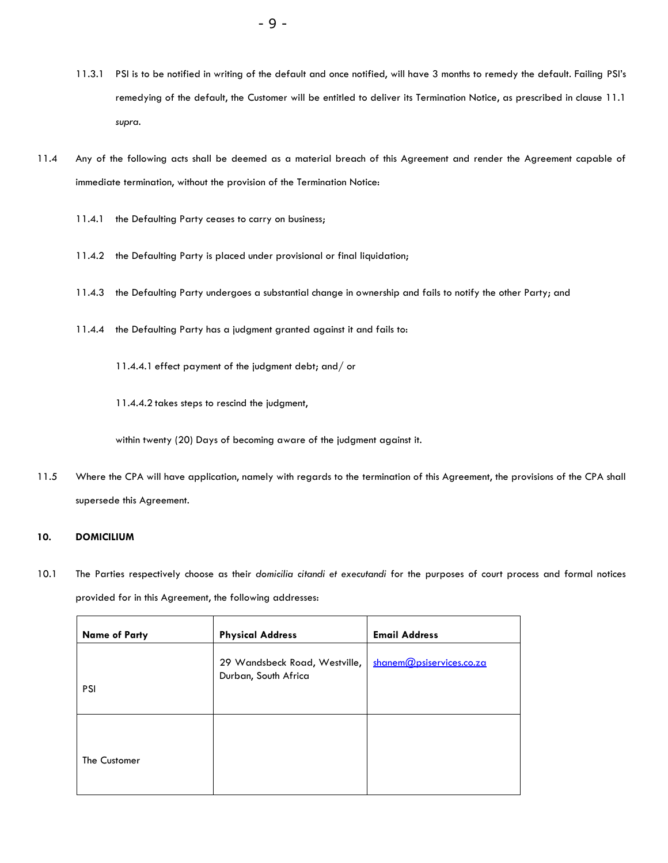- 11.3.1 PSI is to be notified in writing of the default and once notified, will have 3 months to remedy the default. Failing PSI's remedying of the default, the Customer will be entitled to deliver its Termination Notice, as prescribed in clause 11.1 *supra*.
- 11.4 Any of the following acts shall be deemed as a material breach of this Agreement and render the Agreement capable of immediate termination, without the provision of the Termination Notice:
	- 11.4.1 the Defaulting Party ceases to carry on business;
	- 11.4.2 the Defaulting Party is placed under provisional or final liquidation;
	- 11.4.3 the Defaulting Party undergoes a substantial change in ownership and fails to notify the other Party; and
	- 11.4.4 the Defaulting Party has a judgment granted against it and fails to:
		- 11.4.4.1 effect payment of the judgment debt; and/ or
		- 11.4.4.2 takes steps to rescind the judgment,

within twenty (20) Days of becoming aware of the judgment against it.

11.5 Where the CPA will have application, namely with regards to the termination of this Agreement, the provisions of the CPA shall supersede this Agreement.

## **10. DOMICILIUM**

10.1 The Parties respectively choose as their *domicilia citandi et executandi* for the purposes of court process and formal notices provided for in this Agreement, the following addresses:

| <b>Name of Party</b> | <b>Physical Address</b>                               | <b>Email Address</b>     |
|----------------------|-------------------------------------------------------|--------------------------|
| <b>PSI</b>           | 29 Wandsbeck Road, Westville,<br>Durban, South Africa | shanem@psiservices.co.za |
| The Customer         |                                                       |                          |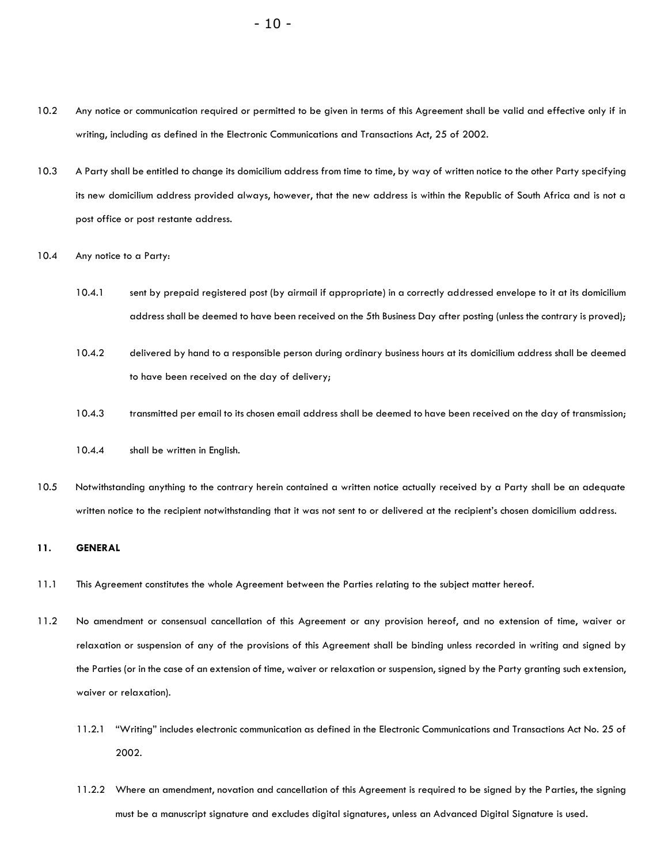- 10.2 Any notice or communication required or permitted to be given in terms of this Agreement shall be valid and effective only if in writing, including as defined in the Electronic Communications and Transactions Act, 25 of 2002.
- 10.3 A Party shall be entitled to change its domicilium address from time to time, by way of written notice to the other Party specifying its new domicilium address provided always, however, that the new address is within the Republic of South Africa and is not a post office or post restante address.
- 10.4 Any notice to a Party:
	- 10.4.1 sent by prepaid registered post (by airmail if appropriate) in a correctly addressed envelope to it at its domicilium address shall be deemed to have been received on the 5th Business Day after posting (unless the contrary is proved);
	- 10.4.2 delivered by hand to a responsible person during ordinary business hours at its domicilium address shall be deemed to have been received on the day of delivery;
	- 10.4.3 transmitted per email to its chosen email address shall be deemed to have been received on the day of transmission;
	- 10.4.4 shall be written in English.
- 10.5 Notwithstanding anything to the contrary herein contained a written notice actually received by a Party shall be an adequate written notice to the recipient notwithstanding that it was not sent to or delivered at the recipient's chosen domicilium address.

# **11. GENERAL**

- 11.1 This Agreement constitutes the whole Agreement between the Parties relating to the subject matter hereof.
- 11.2 No amendment or consensual cancellation of this Agreement or any provision hereof, and no extension of time, waiver or relaxation or suspension of any of the provisions of this Agreement shall be binding unless recorded in writing and signed by the Parties (or in the case of an extension of time, waiver or relaxation or suspension, signed by the Party granting such extension, waiver or relaxation).
	- 11.2.1 "Writing" includes electronic communication as defined in the Electronic Communications and Transactions Act No. 25 of 2002.
	- 11.2.2 Where an amendment, novation and cancellation of this Agreement is required to be signed by the Parties, the signing must be a manuscript signature and excludes digital signatures, unless an Advanced Digital Signature is used.